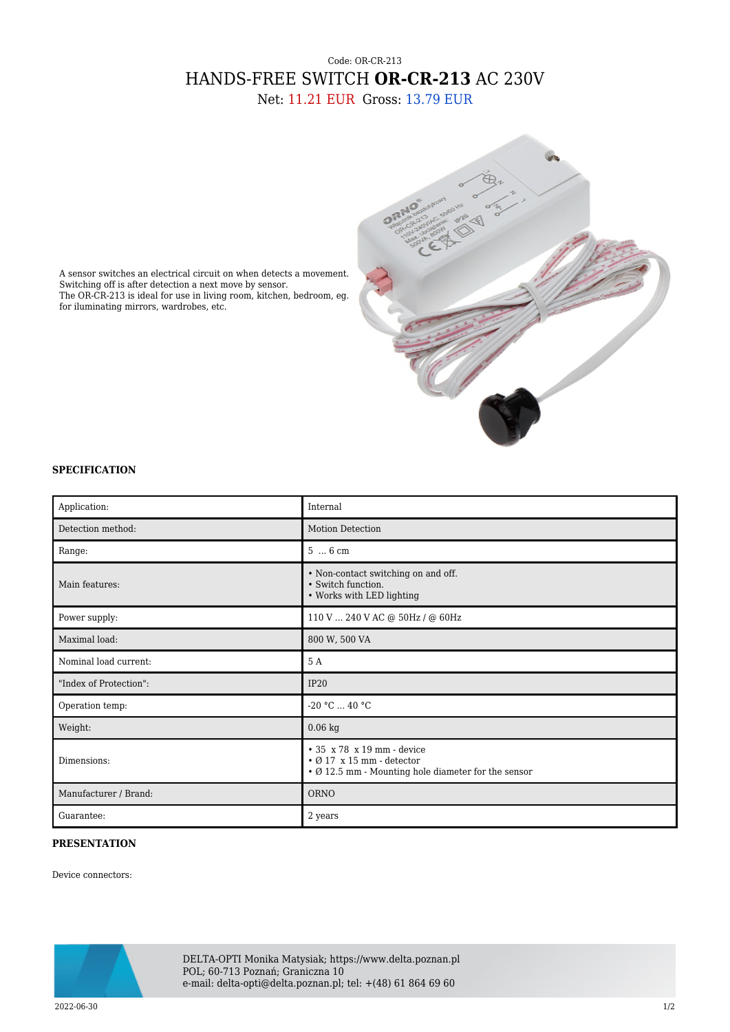## Code: OR-CR-213 HANDS-FREE SWITCH **OR-CR-213** AC 230V

Net: 11.21 EUR Gross: 13.79 EUR



A sensor switches an electrical circuit on when detects a movement. Switching off is after detection a next move by sensor. The OR-CR-213 is ideal for use in living room, kitchen, bedroom, eg. for iluminating mirrors, wardrobes, etc.

## **SPECIFICATION**

| Application:           | Internal                                                                                                                         |
|------------------------|----------------------------------------------------------------------------------------------------------------------------------|
| Detection method:      | <b>Motion Detection</b>                                                                                                          |
| Range:                 | $56$ cm                                                                                                                          |
| Main features:         | • Non-contact switching on and off.<br>• Switch function.<br>• Works with LED lighting                                           |
| Power supply:          | 110 V  240 V AC @ 50Hz / @ 60Hz                                                                                                  |
| Maximal load:          | 800 W, 500 VA                                                                                                                    |
| Nominal load current:  | 5 A                                                                                                                              |
| "Index of Protection": | IP20                                                                                                                             |
| Operation temp:        | $-20 °C  40 °C$                                                                                                                  |
| Weight:                | $0.06$ kg                                                                                                                        |
| Dimensions:            | $\cdot$ 35 x 78 x 19 mm - device<br>$\cdot$ Ø 17 x 15 mm - detector<br>$\cdot$ Ø 12.5 mm - Mounting hole diameter for the sensor |
| Manufacturer / Brand:  | ORNO                                                                                                                             |
| Guarantee:             | 2 years                                                                                                                          |

## **PRESENTATION**

Device connectors:



DELTA-OPTI Monika Matysiak; https://www.delta.poznan.pl POL; 60-713 Poznań; Graniczna 10 e-mail: delta-opti@delta.poznan.pl; tel: +(48) 61 864 69 60